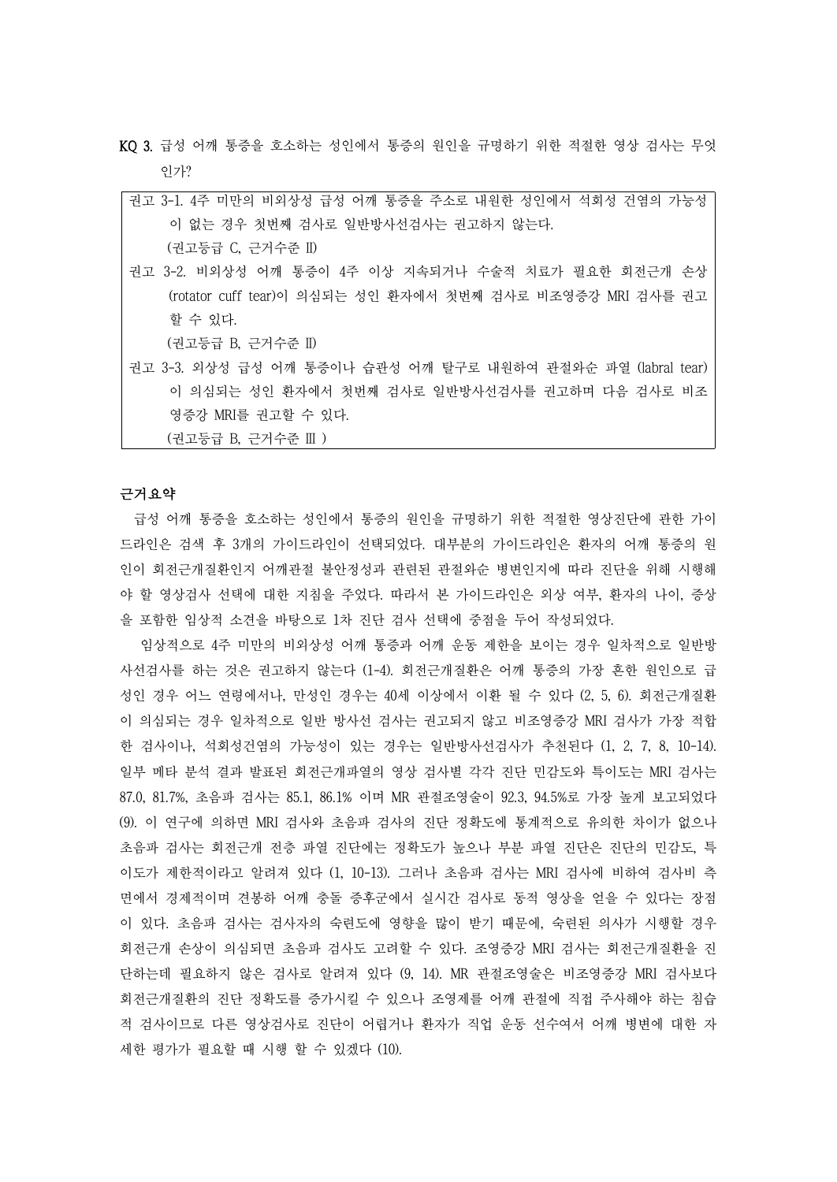- KQ 3. 급성 어깨 통증을 호소하는 성인에서 통증의 원인을 규명하기 위한 적절한 영상 검사는 무엇 인가?
	- 권고 3-1. 4주 미만의 비외상성 급성 어깨 통증을 주소로 내원한 성인에서 석회성 건염의 가능성 이 없는 경우 첫번째 검사로 일반방사선검사는 권고하지 않는다. (권고등급 C, 근거수준 II)
	- 권고 3-2. 비외상성 어깨 통증이 4주 이상 지속되거나 수술적 치료가 필요한 회전근개 손상 (rotator cuff tear)이 의심되는 성인 환자에서 첫번째 검사로 비조영증강 MRI 검사를 권고 할 수 있다.

(권고등급 B, 근거수준 II)

권고 3-3. 외상성 급성 어깨 통증이나 습관성 어깨 탈구로 내원하여 관절와순 파열 (labral tear) 이 의심되는 성인 환자에서 첫번째 검사로 일반방사선검사를 권고하며 다음 검사로 비조 영증강 MRI를 권고할 수 있다.

(권고등급 B, 근거수준 III )

### 근거요약

급성 어깨 통증을 호소하는 성인에서 통증의 원인을 규명하기 위한 적절한 영상진단에 관한 가이 드라인은 검색 후 3개의 가이드라인이 선택되었다. 대부분의 가이드라인은 환자의 어깨 통증의 원 인이 회전근개질환인지 어깨관절 불안정성과 관련된 관절와순 병변인지에 따라 진단을 위해 시행해 야 할 영상검사 선택에 대한 지침을 주었다. 따라서 본 가이드라인은 외상 여부, 환자의 나이, 증상 을 포함한 임상적 소견을 바탕으로 1차 진단 검사 선택에 중점을 두어 작성되었다.

임상적으로 4주 미만의 비외상성 어깨 통증과 어깨 운동 제한을 보이는 경우 일차적으로 일반방 사선검사를 하는 것은 권고하지 않는다 (1-4). 회전근개질환은 어깨 통증의 가장 흔한 원인으로 급 성인 경우 어느 연령에서나, 만성인 경우는 40세 이상에서 이환 될 수 있다 (2, 5, 6). 회전근개질환 이 의심되는 경우 일차적으로 일반 방사선 검사는 권고되지 않고 비조영증강 MRI 검사가 가장 적합 한 검사이나, 석회성건염의 가능성이 있는 경우는 일반방사선검사가 추천된다 (1, 2, 7, 8, 10-14). 일부 메타 분석 결과 발표된 회전근개파열의 영상 검사별 각각 진단 민감도와 특이도는 MRI 검사는 87.0, 81.7%, 초음파 검사는 85.1, 86.1% 이며 MR 관절조영술이 92.3, 94.5%로 가장 높게 보고되었다 (9). 이 연구에 의하면 MRI 검사와 초음파 검사의 진단 정확도에 통계적으로 유의한 차이가 없으나 초음파 검사는 회전근개 전층 파열 진단에는 정확도가 높으나 부분 파열 진단은 진단의 민감도, 특 이도가 제한적이라고 알려져 있다 (1, 10-13). 그러나 초음파 검사는 MRI 검사에 비하여 검사비 측 면에서 경제적이며 견봉하 어깨 충돌 증후군에서 실시간 검사로 동적 영상을 얻을 수 있다는 장점 이 있다. 초음파 검사는 검사자의 숙련도에 영향을 많이 받기 때문에, 숙련된 의사가 시행할 경우 회전근개 손상이 의심되면 초음파 검사도 고려할 수 있다. 조영증강 MRI 검사는 회전근개질환을 진 단하는데 필요하지 않은 검사로 알려져 있다 (9, 14). MR 관절조영술은 비조영증강 MRI 검사보다 회전근개질환의 진단 정확도를 증가시킬 수 있으나 조영제를 어깨 관절에 직접 주사해야 하는 침습 적 검사이므로 다른 영상검사로 진단이 어렵거나 환자가 직업 운동 선수여서 어깨 병변에 대한 자 세한 평가가 필요할 때 시행 할 수 있겠다 (10).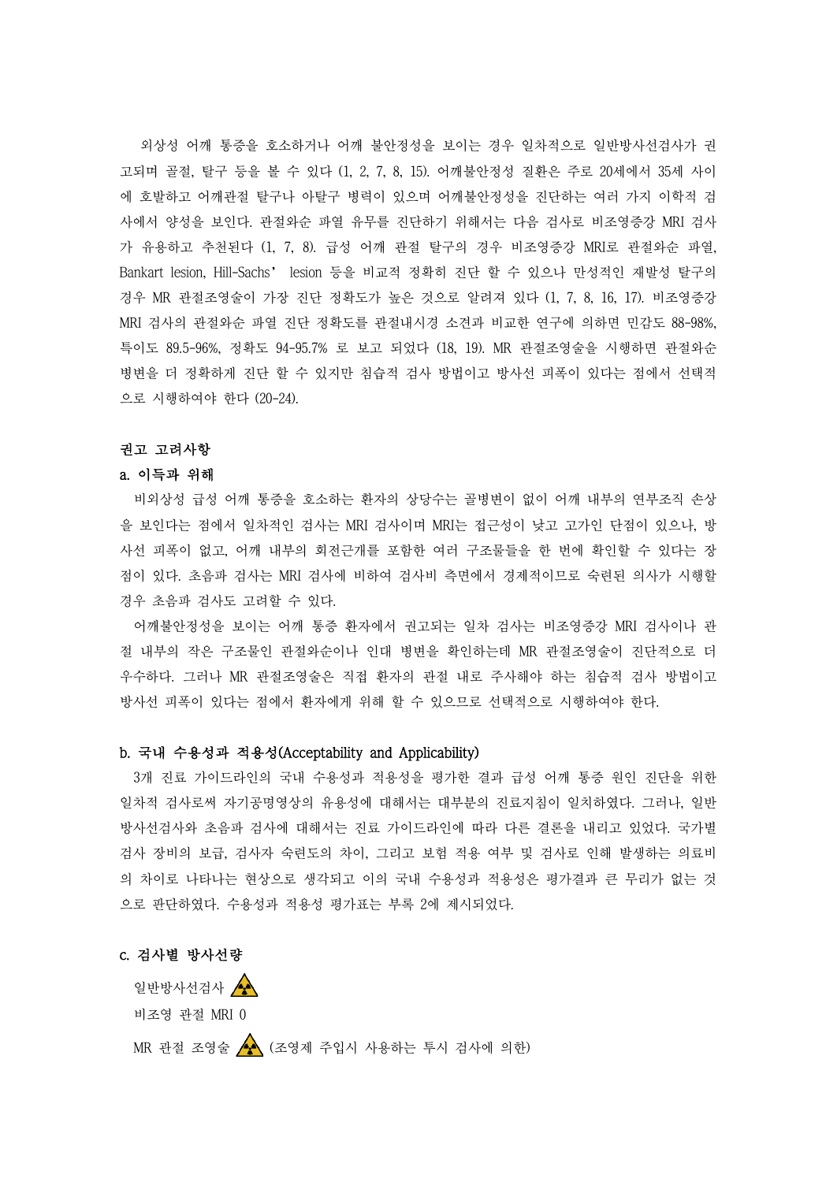외상성 어깨 통증을 호소하거나 어깨 불안정성을 보이는 경우 일차적으로 일반방사선검사가 권 고되며 골절, 탈구 등을 볼 수 있다 (1, 2, 7, 8, 15). 어깨불안정성 질환은 주로 20세에서 35세 사이 에 호발하고 어깨관절 탈구나 아탈구 병력이 있으며 어깨불안정성을 진단하는 여러 가지 이학적 검 사에서 양성을 보인다. 관절와순 파열 유무를 진단하기 위해서는 다음 검사로 비조영증강 MRI 검사 가 유용하고 추천된다 (1, 7, 8). 급성 어깨 관절 탈구의 경우 비조영증강 MRI로 관절와순 파열,<br>Bankart lesion, Hill-Sachs' lesion 등을 비교적 정확히 진단 할 수 있으나 만성적인 재발성 탈구의 경우 MR 관절조영술이 가장 진단 정확도가 높은 것으로 알려져 있다 (1, 7, 8, 16, 17). 비조영증강 MRI 검사의 관절와순 파열 진단 정확도를 관절내시경 소견과 비교한 연구에 의하면 민감도 88-98%, 특이도 89.5-96%, 정확도 94-95.7% 로 보고 되었다 (18, 19). MR 관절조영술을 시행하면 관절와순 병변을 더 정확하게 진단 할 수 있지만 침습적 검사 방법이고 방사선 피폭이 있다는 점에서 선택적 으로 시행하여야 한다 (20-24).

# 권고 고려사항

#### a. 이득과 위해

비외상성 급성 어깨 통증을 호소하는 환자의 상당수는 골병변이 없이 어깨 내부의 연부조직 손상 을 보인다는 점에서 일차적인 검사는 MRI 검사이며 MRI는 접근성이 낮고 고가인 단점이 있으나, 방 사선 피폭이 없고, 어깨 내부의 회전근개를 포함한 여러 구조물들을 한 번에 확인할 수 있다는 장 점이 있다. 초음파 검사는 MRI 검사에 비하여 검사비 측면에서 경제적이므로 숙련된 의사가 시행할 경우 초음파 검사도 고려할 수 있다.

어깨불안정성을 보이는 어깨 통증 환자에서 권고되는 일차 검사는 비조영증강 MRI 검사이나 관 절 내부의 작은 구조물인 관절와순이나 인대 병변을 확인하는데 MR 관절조영술이 진단적으로 더 우수하다. 그러나 MR 관절조영술은 직접 환자의 관절 내로 주사해야 하는 침습적 검사 방법이고 방사선 피폭이 있다는 점에서 환자에게 위해 할 수 있으므로 선택적으로 시행하여야 한다.

### b. 국내 수용성과 적용성(Acceptability and Applicability)

3개 진료 가이드라인의 국내 수용성과 적용성을 평가한 결과 급성 어깨 통증 원인 진단을 위한 일차적 검사로써 자기공명영상의 유용성에 대해서는 대부분의 진료지침이 일치하였다. 그러나, 일반 방사선검사와 초음파 검사에 대해서는 진료 가이드라인에 따라 다른 결론을 내리고 있었다. 국가별 검사 장비의 보급, 검사자 숙련도의 차이, 그리고 보험 적용 여부 및 검사로 인해 발생하는 의료비 의 차이로 나타나는 현상으로 생각되고 이의 국내 수용성과 적용성은 평가결과 큰 무리가 없는 것 으로 판단하였다. 수용성과 적용성 평가표는 부록 2에 제시되었다.

## c. 검사별 방사선량

일반방사선검사 4 비조영 관절 MRI 0

MR 관절 조영술 (조영제 주입시 사용하는 투시 검사에 의한)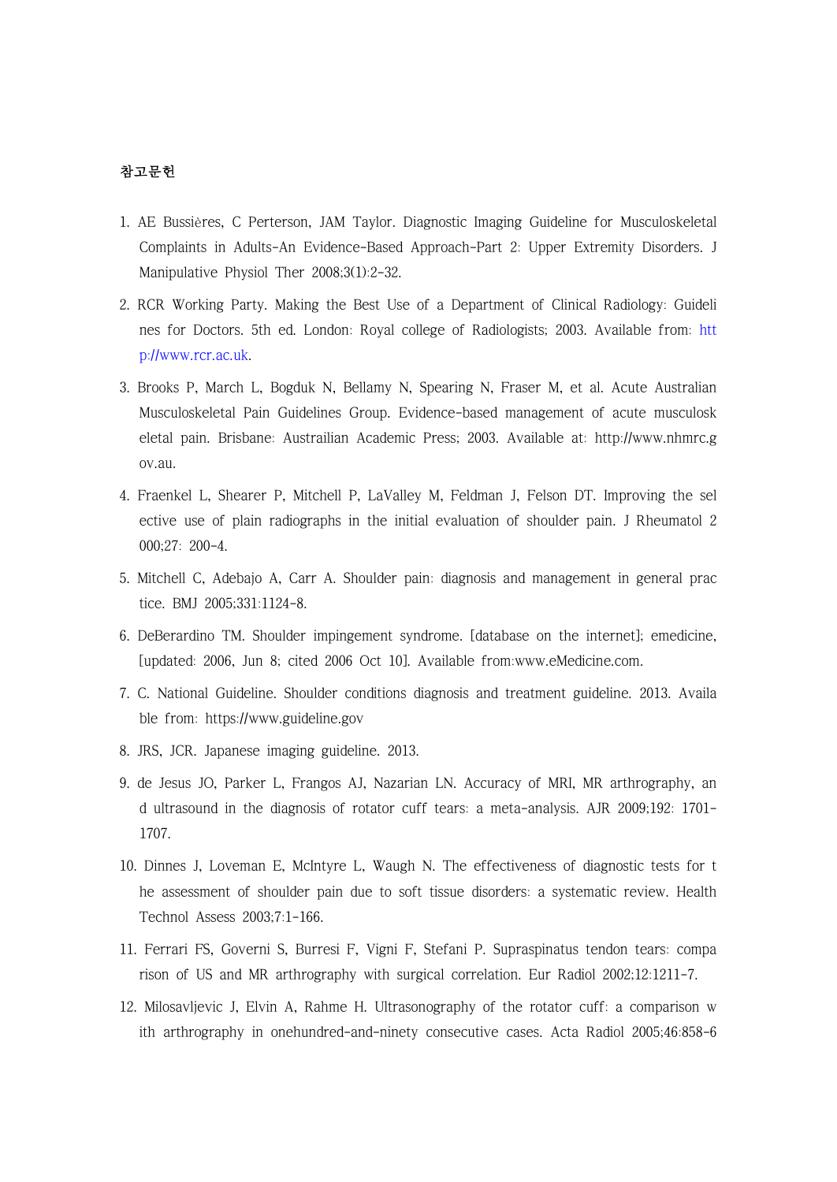## 참고문헌

- 1. AE Bussières, C Perterson, JAM Taylor. Diagnostic Imaging Guideline for Musculoskeletal Complaints in Adults-An Evidence-Based Approach-Part 2: Upper Extremity Disorders. J Manipulative Physiol Ther 2008;3(1):2-32.
- 2. RCR Working Party. Making the Best Use of a Department of Clinical Radiology: Guideli nes for Doctors. [5th ed. London: Royal college of Radiologists; 2003. Available from: h](http://www.rcr.ac.uk)tt p://www.rcr.ac.uk.
- 3. Brooks P, March L, Bogduk N, Bellamy N, Spearing N, Fraser M, et al. Acute Australian Musculoskeletal Pain Guidelines Group. Evidence-based management of acute musculosk eletal pain. Brisbane: Austrailian Academic Press; 2003. Available at: http://www.nhmrc.g ov.au.
- 4. Fraenkel L, Shearer P, Mitchell P, LaValley M, Feldman J, Felson DT. Improving the sel ective use of plain radiographs in the initial evaluation of shoulder pain. J Rheumatol 2 000;27: 200-4.
- 5. Mitchell C, Adebajo A, Carr A. Shoulder pain: diagnosis and management in general prac tice. BMJ 2005;331:1124-8.
- 6. DeBerardino TM. Shoulder impingement syndrome. [database on the internet]; emedicine, [updated: 2006, Jun 8; cited 2006 Oct 10]. Available from:www.eMedicine.com.
- 7. C. National Guideline. Shoulder conditions diagnosis and treatment guideline. 2013. Availa ble from: https://www.guideline.gov
- 8. JRS, JCR. Japanese imaging guideline. 2013.
- 9. de Jesus JO, Parker L, Frangos AJ, Nazarian LN. Accuracy of MRI, MR arthrography, an d ultrasound in the diagnosis of rotator cuff tears: a meta-analysis. AJR 2009;192: 1701- 1707.
- 10. Dinnes J, Loveman E, McIntyre L, Waugh N. The effectiveness of diagnostic tests for t he assessment of shoulder pain due to soft tissue disorders: a systematic review. Health Technol Assess 2003;7:1-166.
- 11. Ferrari FS, Governi S, Burresi F, Vigni F, Stefani P. Supraspinatus tendon tears: compa rison of US and MR arthrography with surgical correlation. Eur Radiol 2002;12:1211-7.
- 12. Milosavljevic J, Elvin A, Rahme H. Ultrasonography of the rotator cuff: a comparison w ith arthrography in onehundred-and-ninety consecutive cases. Acta Radiol 2005;46:858-6